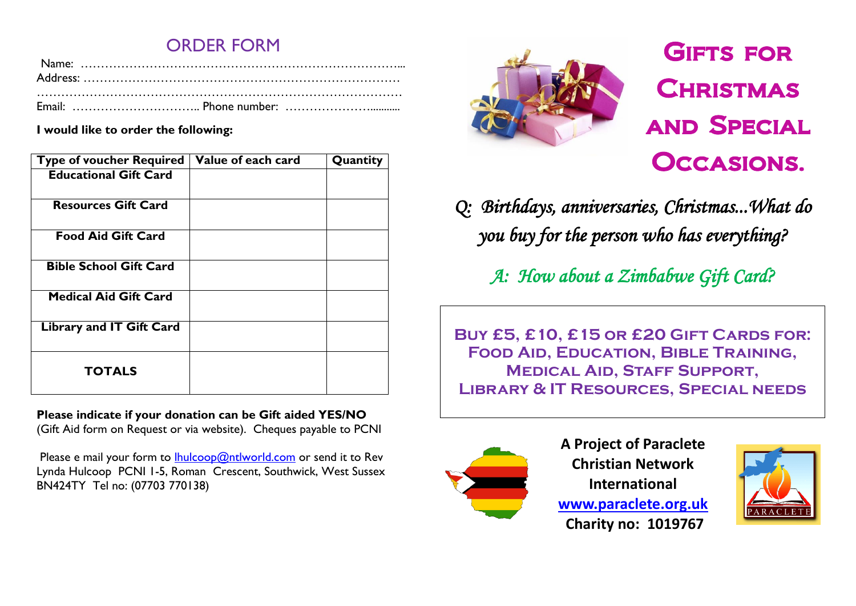### ORDER FORM

**I would like to order the following:**

| <b>Type of voucher Required</b> | Value of each card | Quantity |
|---------------------------------|--------------------|----------|
| <b>Educational Gift Card</b>    |                    |          |
| <b>Resources Gift Card</b>      |                    |          |
| <b>Food Aid Gift Card</b>       |                    |          |
| <b>Bible School Gift Card</b>   |                    |          |
| <b>Medical Aid Gift Card</b>    |                    |          |
| <b>Library and IT Gift Card</b> |                    |          |
| <b>TOTALS</b>                   |                    |          |

**Please indicate if your donation can be Gift aided YES/NO** (Gift Aid form on Request or via website). Cheques payable to PCNI

Please e mail your form to  $l$ hulcoop@ntlworld.com or send it to Rev Lynda Hulcoop PCNI 1-5, Roman Crescent, Southwick, West Sussex BN424TY Tel no: (07703 770138)



## **GIFTS FOR CHRISTMAS** and Special Occasions.

*Q: Birthdays, anniversaries, Christmas...What do you buy for the person who has everything?*

*A: How about a Zimbabwe Gift Card?* 

**Buy £5, £10, £15 or £20 Gift Cards for: Food Aid, Education, Bible Training, Medical Aid, Staff Support, Library & IT Resources, Special needs**



**A Project of Paraclete Christian Network International [www.paraclete.org.uk](http://www.paraclete.org.uk/) Charity no: 1019767**